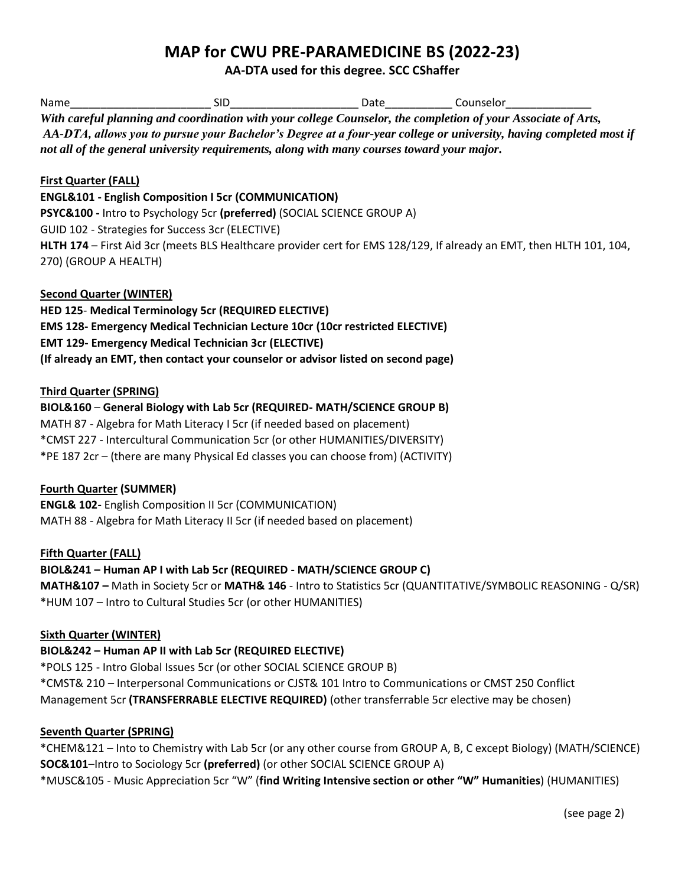## **MAP for CWU PRE-PARAMEDICINE BS (2022-23)**

**AA-DTA used for this degree. SCC CShaffer**

| Name                           | <b>SID</b>                                                                                 | __________________________ Date________________ Counselor_ |                                                                                                                      |
|--------------------------------|--------------------------------------------------------------------------------------------|------------------------------------------------------------|----------------------------------------------------------------------------------------------------------------------|
|                                |                                                                                            |                                                            | With careful planning and coordination with your college Counselor, the completion of your Associate of Arts,        |
|                                |                                                                                            |                                                            | AA-DTA, allows you to pursue your Bachelor's Degree at a four-year college or university, having completed most if   |
|                                | not all of the general university requirements, along with many courses toward your major. |                                                            |                                                                                                                      |
| <b>First Quarter (FALL)</b>    |                                                                                            |                                                            |                                                                                                                      |
|                                | <b>ENGL&amp;101 - English Composition I 5cr (COMMUNICATION)</b>                            |                                                            |                                                                                                                      |
|                                | PSYC&100 - Intro to Psychology 5cr (preferred) (SOCIAL SCIENCE GROUP A)                    |                                                            |                                                                                                                      |
|                                | GUID 102 - Strategies for Success 3cr (ELECTIVE)                                           |                                                            |                                                                                                                      |
|                                |                                                                                            |                                                            | HLTH 174 - First Aid 3cr (meets BLS Healthcare provider cert for EMS 128/129, If already an EMT, then HLTH 101, 104, |
| 270) (GROUP A HEALTH)          |                                                                                            |                                                            |                                                                                                                      |
| <b>Second Quarter (WINTER)</b> |                                                                                            |                                                            |                                                                                                                      |
|                                | HED 125- Medical Terminology 5cr (REQUIRED ELECTIVE)                                       |                                                            |                                                                                                                      |
|                                | <b>EMS 128- Emergency Medical Technician Lecture 10cr (10cr restricted ELECTIVE)</b>       |                                                            |                                                                                                                      |
|                                | <b>EMT 129- Emergency Medical Technician 3cr (ELECTIVE)</b>                                |                                                            |                                                                                                                      |
|                                | (If already an EMT, then contact your counselor or advisor listed on second page)          |                                                            |                                                                                                                      |
| <b>Third Quarter (SPRING)</b>  |                                                                                            |                                                            |                                                                                                                      |
|                                | BIOL&160 - General Biology with Lab 5cr (REQUIRED- MATH/SCIENCE GROUP B)                   |                                                            |                                                                                                                      |
|                                | MATH 87 - Algebra for Math Literacy I 5cr (if needed based on placement)                   |                                                            |                                                                                                                      |
|                                | *CMST 227 - Intercultural Communication 5cr (or other HUMANITIES/DIVERSITY)                |                                                            |                                                                                                                      |
|                                | *PE 187 2cr - (there are many Physical Ed classes you can choose from) (ACTIVITY)          |                                                            |                                                                                                                      |
| <b>Fourth Quarter (SUMMER)</b> |                                                                                            |                                                            |                                                                                                                      |
|                                | <b>ENGL&amp; 102-English Composition II 5cr (COMMUNICATION)</b>                            |                                                            |                                                                                                                      |
|                                | MATH 88 - Algebra for Math Literacy II 5cr (if needed based on placement)                  |                                                            |                                                                                                                      |
| <b>Fifth Quarter (FALL)</b>    |                                                                                            |                                                            |                                                                                                                      |
|                                | BIOL&241 - Human AP I with Lab 5cr (REQUIRED - MATH/SCIENCE GROUP C)                       |                                                            |                                                                                                                      |
|                                |                                                                                            |                                                            | MATH&107 - Math in Society 5cr or MATH& 146 - Intro to Statistics 5cr (QUANTITATIVE/SYMBOLIC REASONING - Q/SR)       |
|                                | *HUM 107 - Intro to Cultural Studies 5cr (or other HUMANITIES)                             |                                                            |                                                                                                                      |
| <b>Sixth Quarter (WINTER)</b>  |                                                                                            |                                                            |                                                                                                                      |
|                                | BIOL&242 - Human AP II with Lab 5cr (REQUIRED ELECTIVE)                                    |                                                            |                                                                                                                      |
|                                | *POLS 125 - Intro Global Issues 5cr (or other SOCIAL SCIENCE GROUP B)                      |                                                            |                                                                                                                      |

\*CMST& 210 – Interpersonal Communications or CJST& 101 Intro to Communications or CMST 250 Conflict Management 5cr **(TRANSFERRABLE ELECTIVE REQUIRED)** (other transferrable 5cr elective may be chosen)

## **Seventh Quarter (SPRING)**

\*CHEM&121 – Into to Chemistry with Lab 5cr (or any other course from GROUP A, B, C except Biology) (MATH/SCIENCE) **SOC&101**–Intro to Sociology 5cr **(preferred)** (or other SOCIAL SCIENCE GROUP A) \*MUSC&105 - Music Appreciation 5cr "W" (**find Writing Intensive section or other "W" Humanities**) (HUMANITIES)

(see page 2)